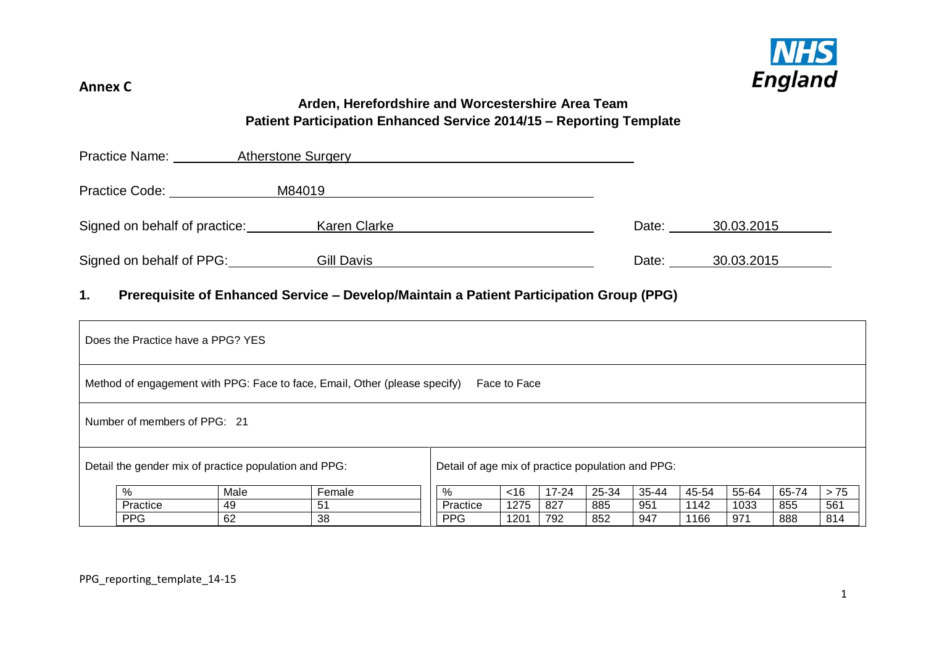

# **Arden, Herefordshire and Worcestershire Area Team Patient Participation Enhanced Service 2014/15 – Reporting Template**

| <b>Practice Name:</b>         | <b>Atherstone Surgery</b> |       |            |
|-------------------------------|---------------------------|-------|------------|
| <b>Practice Code:</b>         | M84019                    |       |            |
| Signed on behalf of practice: | Karen Clarke              | Date: | 30.03.2015 |
| Signed on behalf of PPG:      | Gill Davis                | Date: | 30.03.2015 |

## **1. Prerequisite of Enhanced Service – Develop/Maintain a Patient Participation Group (PPG)**

| Does the Practice have a PPG? YES                     |                                                   |                                                                            |            |              |           |       |       |       |       |       |       |
|-------------------------------------------------------|---------------------------------------------------|----------------------------------------------------------------------------|------------|--------------|-----------|-------|-------|-------|-------|-------|-------|
|                                                       |                                                   | Method of engagement with PPG: Face to face, Email, Other (please specify) |            | Face to Face |           |       |       |       |       |       |       |
| Number of members of PPG: 21                          |                                                   |                                                                            |            |              |           |       |       |       |       |       |       |
| Detail the gender mix of practice population and PPG: | Detail of age mix of practice population and PPG: |                                                                            |            |              |           |       |       |       |       |       |       |
| %                                                     | Male                                              | Female                                                                     | %          | <16          | $17 - 24$ | 25-34 | 35-44 | 45-54 | 55-64 | 65-74 | $>75$ |
| Practice                                              | 49                                                | -51                                                                        | Practice   | 1275         | 827       | 885   | 951   | 1142  | 1033  | 855   | 561   |
| <b>PPG</b>                                            | 62                                                | 38                                                                         | <b>PPG</b> | 1201         | 792       | 852   | 947   | 1166  | 971   | 888   | 814   |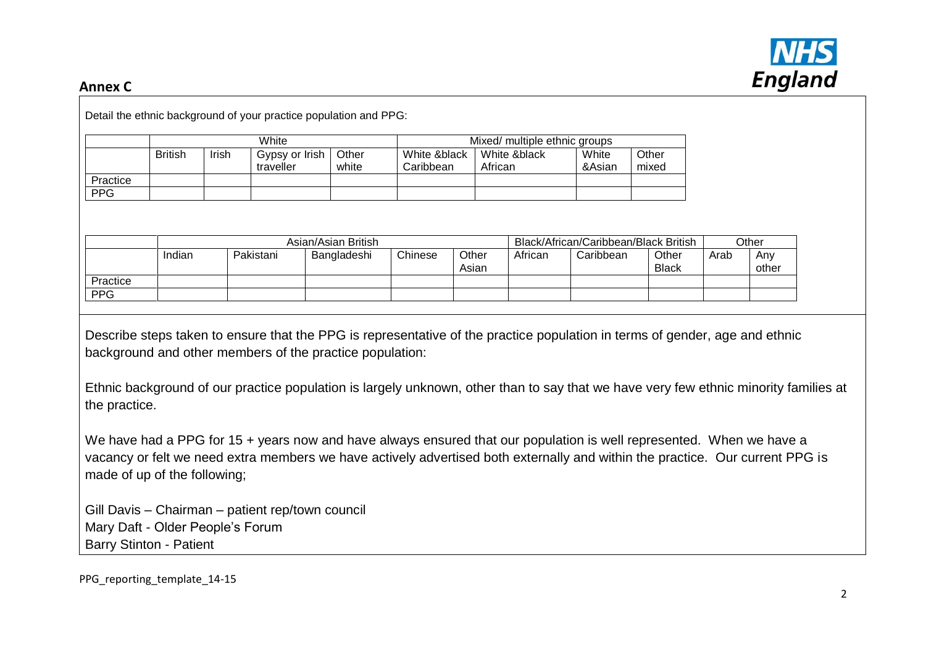

|            | White          |              |                             |                     |                           | Mixed/ multiple ethnic groups |              |                 |                                       |      |              |
|------------|----------------|--------------|-----------------------------|---------------------|---------------------------|-------------------------------|--------------|-----------------|---------------------------------------|------|--------------|
|            | <b>British</b> | <b>Irish</b> | Gypsy or Irish<br>traveller | Other<br>white      | White &black<br>Caribbean | African                       | White &black | White<br>&Asian | Other<br>mixed                        |      |              |
| Practice   |                |              |                             |                     |                           |                               |              |                 |                                       |      |              |
|            |                |              |                             |                     |                           |                               |              |                 |                                       |      |              |
|            |                |              |                             |                     |                           |                               |              |                 |                                       |      |              |
| <b>PPG</b> |                |              |                             | Asian/Asian British |                           |                               |              |                 | Black/African/Caribbean/Black British |      | Other        |
|            | Indian         |              | Pakistani                   | Bangladeshi         | Chinese                   | Other<br>Asian                | African      | Caribbean       | Other<br><b>Black</b>                 | Arab | Any<br>other |
| Practice   |                |              |                             |                     |                           |                               |              |                 |                                       |      |              |

Describe steps taken to ensure that the PPG is representative of the practice population in terms of gender, age and ethnic background and other members of the practice population:

Ethnic background of our practice population is largely unknown, other than to say that we have very few ethnic minority families at the practice.

We have had a PPG for 15 + years now and have always ensured that our population is well represented. When we have a vacancy or felt we need extra members we have actively advertised both externally and within the practice. Our current PPG is made of up of the following;

Gill Davis – Chairman – patient rep/town council Mary Daft - Older People's Forum Barry Stinton - Patient

PPG reporting template 14-15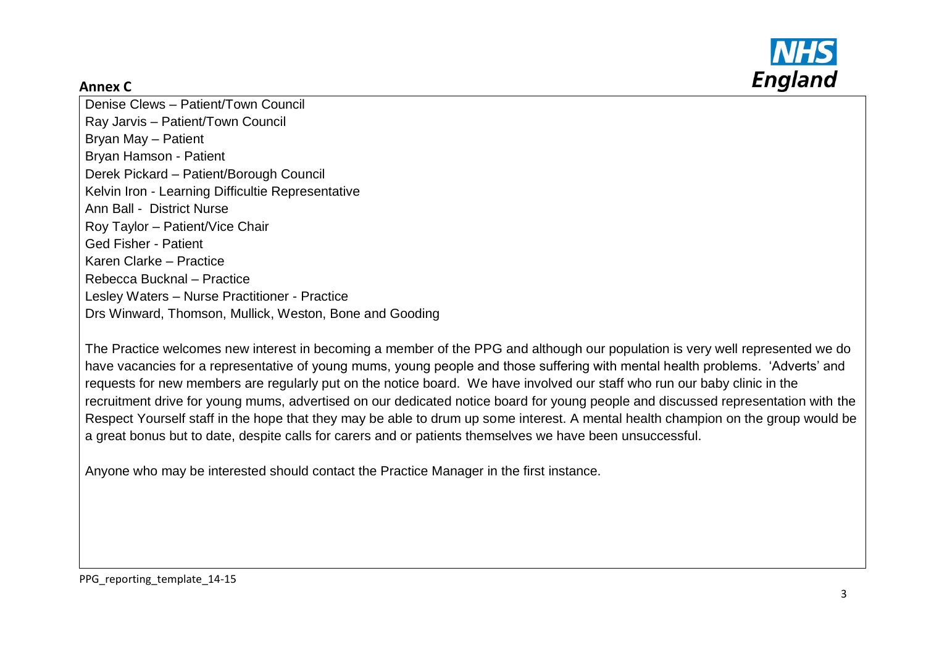



Denise Clews – Patient/Town Council Ray Jarvis – Patient/Town Council Bryan May – Patient Bryan Hamson - Patient Derek Pickard – Patient/Borough Council Kelvin Iron - Learning Difficultie Representative Ann Ball - District Nurse Roy Taylor – Patient/Vice Chair Ged Fisher - Patient Karen Clarke – Practice Rebecca Bucknal – Practice Lesley Waters – Nurse Practitioner - Practice Drs Winward, Thomson, Mullick, Weston, Bone and Gooding

The Practice welcomes new interest in becoming a member of the PPG and although our population is very well represented we do have vacancies for a representative of young mums, young people and those suffering with mental health problems. 'Adverts' and requests for new members are regularly put on the notice board. We have involved our staff who run our baby clinic in the recruitment drive for young mums, advertised on our dedicated notice board for young people and discussed representation with the Respect Yourself staff in the hope that they may be able to drum up some interest. A mental health champion on the group would be a great bonus but to date, despite calls for carers and or patients themselves we have been unsuccessful.

Anyone who may be interested should contact the Practice Manager in the first instance.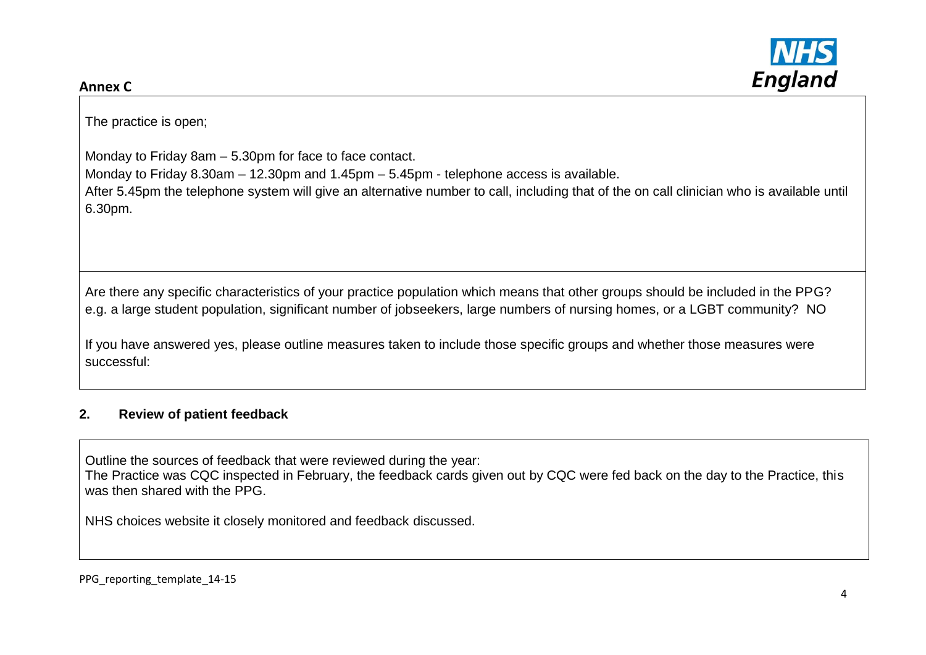

The practice is open;

Monday to Friday 8am – 5.30pm for face to face contact.

Monday to Friday 8.30am – 12.30pm and 1.45pm – 5.45pm - telephone access is available.

After 5.45pm the telephone system will give an alternative number to call, including that of the on call clinician who is available until 6.30pm.

Are there any specific characteristics of your practice population which means that other groups should be included in the PPG? e.g. a large student population, significant number of jobseekers, large numbers of nursing homes, or a LGBT community? NO

If you have answered yes, please outline measures taken to include those specific groups and whether those measures were successful:

# **2. Review of patient feedback**

Outline the sources of feedback that were reviewed during the year:

The Practice was CQC inspected in February, the feedback cards given out by CQC were fed back on the day to the Practice, this was then shared with the PPG.

NHS choices website it closely monitored and feedback discussed.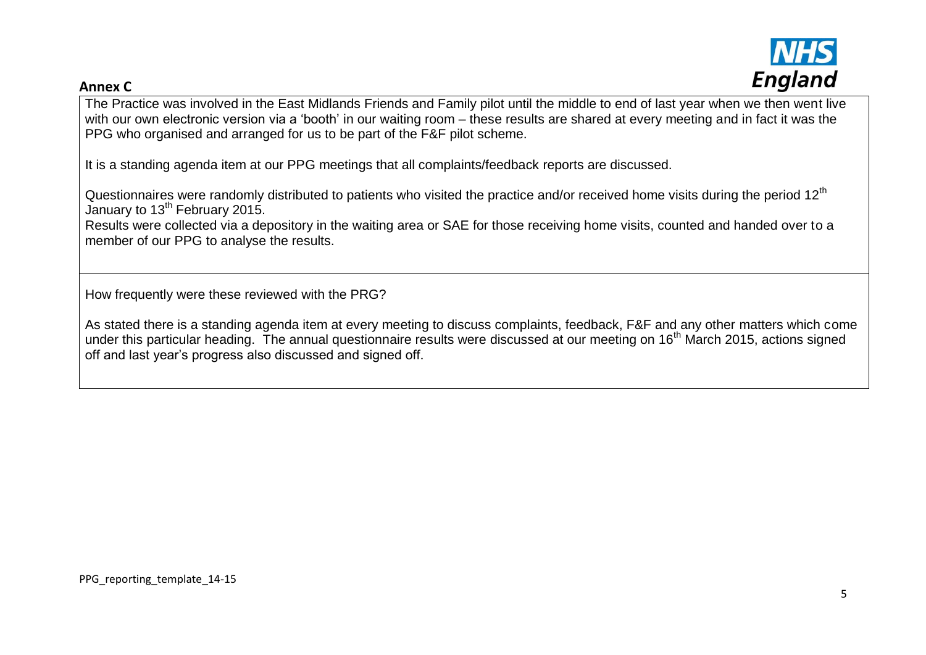

The Practice was involved in the East Midlands Friends and Family pilot until the middle to end of last year when we then went live with our own electronic version via a 'booth' in our waiting room – these results are shared at every meeting and in fact it was the PPG who organised and arranged for us to be part of the F&F pilot scheme.

It is a standing agenda item at our PPG meetings that all complaints/feedback reports are discussed.

Questionnaires were randomly distributed to patients who visited the practice and/or received home visits during the period 12<sup>th</sup> January to  $13<sup>th</sup>$  February 2015.

Results were collected via a depository in the waiting area or SAE for those receiving home visits, counted and handed over to a member of our PPG to analyse the results.

How frequently were these reviewed with the PRG?

As stated there is a standing agenda item at every meeting to discuss complaints, feedback, F&F and any other matters which come under this particular heading. The annual questionnaire results were discussed at our meeting on 16<sup>th</sup> March 2015, actions signed off and last year's progress also discussed and signed off.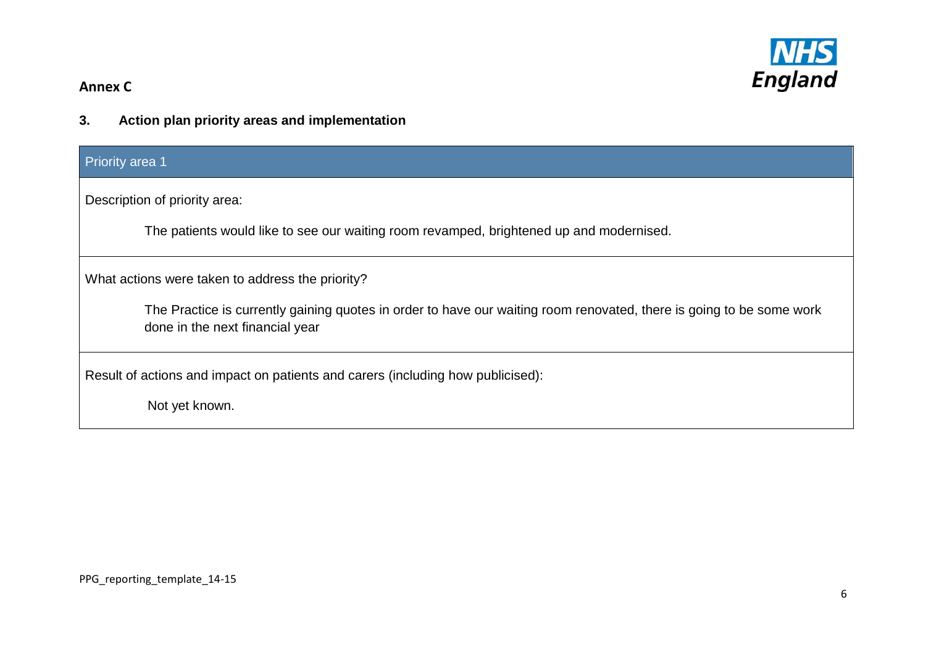

**3. Action plan priority areas and implementation**

# Priority area 1

Description of priority area:

The patients would like to see our waiting room revamped, brightened up and modernised.

What actions were taken to address the priority?

The Practice is currently gaining quotes in order to have our waiting room renovated, there is going to be some work done in the next financial year

Result of actions and impact on patients and carers (including how publicised):

Not yet known.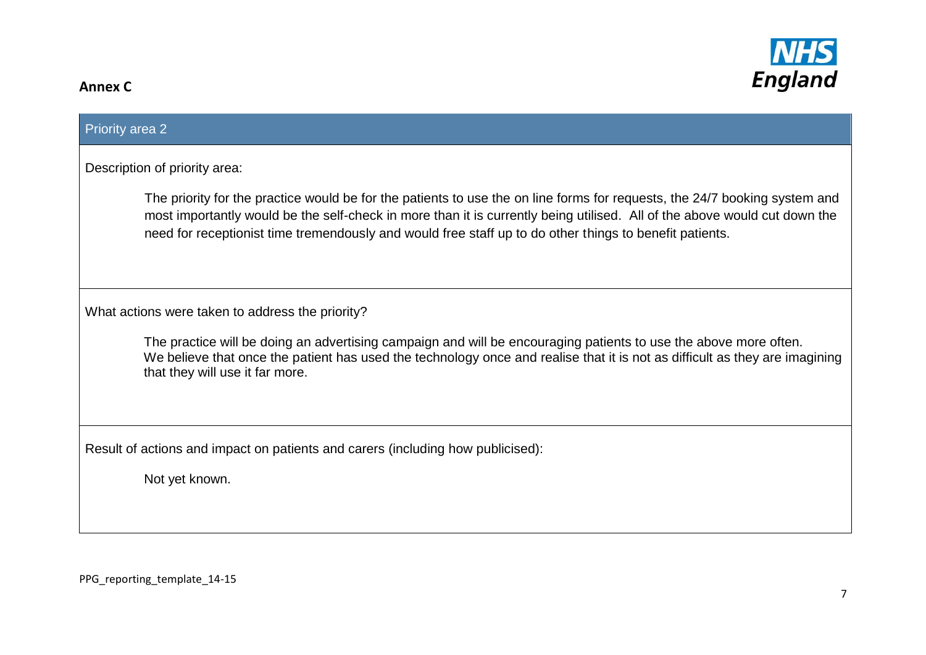

| <b>Priority area 2</b>                                                                                                                                                                                                                                                                                                                                             |
|--------------------------------------------------------------------------------------------------------------------------------------------------------------------------------------------------------------------------------------------------------------------------------------------------------------------------------------------------------------------|
| Description of priority area:                                                                                                                                                                                                                                                                                                                                      |
| The priority for the practice would be for the patients to use the on line forms for requests, the 24/7 booking system and<br>most importantly would be the self-check in more than it is currently being utilised. All of the above would cut down the<br>need for receptionist time tremendously and would free staff up to do other things to benefit patients. |
| What actions were taken to address the priority?                                                                                                                                                                                                                                                                                                                   |
| The practice will be doing an advertising campaign and will be encouraging patients to use the above more often.<br>We believe that once the patient has used the technology once and realise that it is not as difficult as they are imagining<br>that they will use it far more.                                                                                 |
| Result of actions and impact on patients and carers (including how publicised):                                                                                                                                                                                                                                                                                    |
| Not yet known.                                                                                                                                                                                                                                                                                                                                                     |
|                                                                                                                                                                                                                                                                                                                                                                    |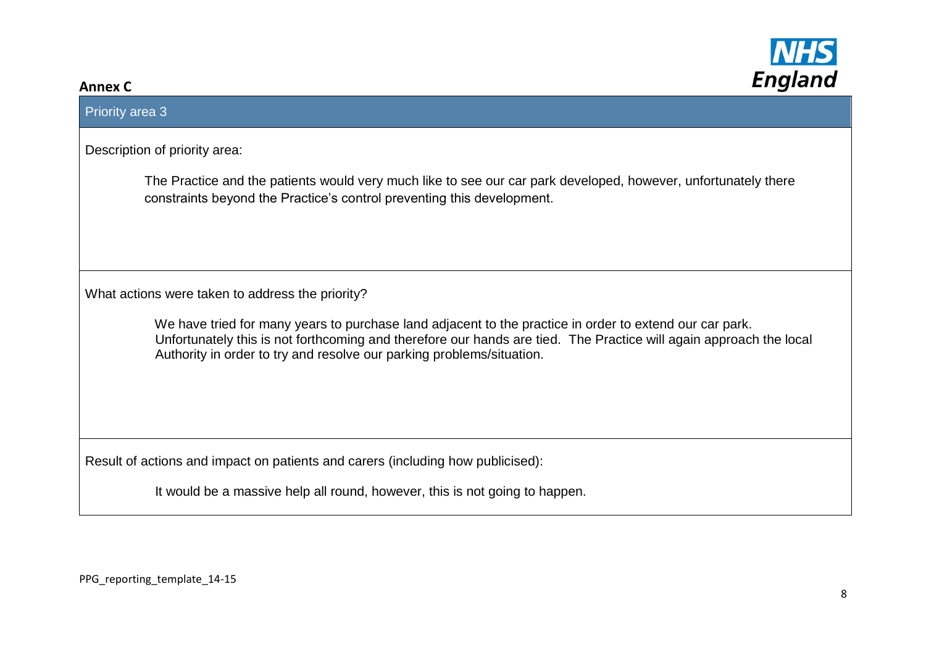

# Priority area 3

Description of priority area:

The Practice and the patients would very much like to see our car park developed, however, unfortunately there constraints beyond the Practice's control preventing this development.

What actions were taken to address the priority?

 We have tried for many years to purchase land adjacent to the practice in order to extend our car park. Unfortunately this is not forthcoming and therefore our hands are tied. The Practice will again approach the local Authority in order to try and resolve our parking problems/situation.

Result of actions and impact on patients and carers (including how publicised):

It would be a massive help all round, however, this is not going to happen.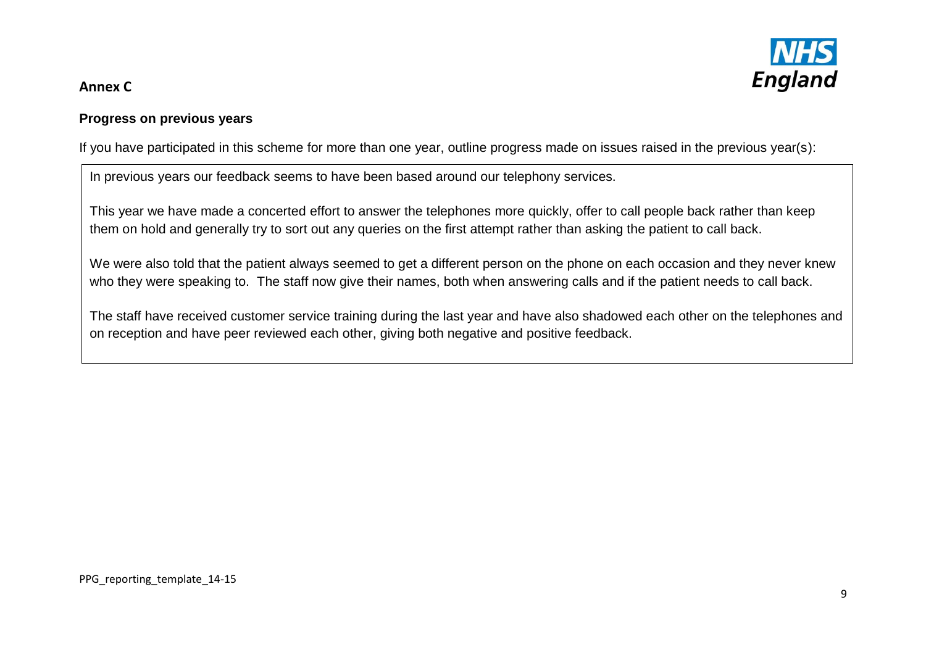# **England**

# **Annex C**

# **Progress on previous years**

If you have participated in this scheme for more than one year, outline progress made on issues raised in the previous year(s):

In previous years our feedback seems to have been based around our telephony services.

This year we have made a concerted effort to answer the telephones more quickly, offer to call people back rather than keep them on hold and generally try to sort out any queries on the first attempt rather than asking the patient to call back.

We were also told that the patient always seemed to get a different person on the phone on each occasion and they never knew who they were speaking to. The staff now give their names, both when answering calls and if the patient needs to call back.

The staff have received customer service training during the last year and have also shadowed each other on the telephones and on reception and have peer reviewed each other, giving both negative and positive feedback.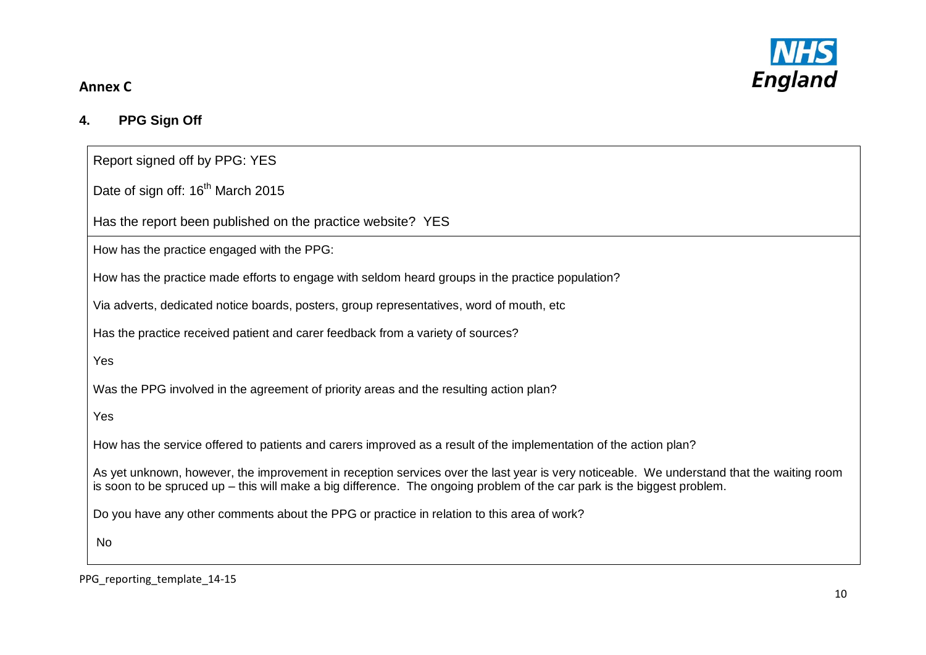

# **4. PPG Sign Off**

Report signed off by PPG: YES

Date of sign off: 16<sup>th</sup> March 2015

Has the report been published on the practice website? YES

How has the practice engaged with the PPG:

How has the practice made efforts to engage with seldom heard groups in the practice population?

Via adverts, dedicated notice boards, posters, group representatives, word of mouth, etc

Has the practice received patient and carer feedback from a variety of sources?

Yes

Was the PPG involved in the agreement of priority areas and the resulting action plan?

Yes

How has the service offered to patients and carers improved as a result of the implementation of the action plan?

As yet unknown, however, the improvement in reception services over the last year is very noticeable. We understand that the waiting room is soon to be spruced up – this will make a big difference. The ongoing problem of the car park is the biggest problem.

Do you have any other comments about the PPG or practice in relation to this area of work?

No

PPG reporting template 14-15